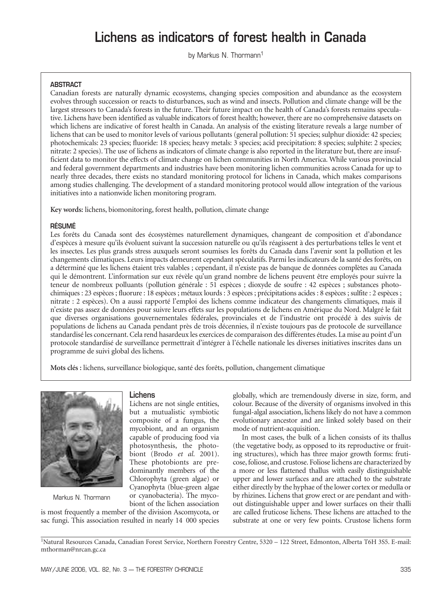# Lichens as indicators of forest health in Canada

by Markus N. Thormann<sup>1</sup>

## **ABSTRACT**

Canadian forests are naturally dynamic ecosystems, changing species composition and abundance as the ecosystem evolves through succession or reacts to disturbances, such as wind and insects. Pollution and climate change will be the largest stressors to Canada's forests in the future. Their future impact on the health of Canada's forests remains speculative. Lichens have been identified as valuable indicators of forest health; however, there are no comprehensive datasets on which lichens are indicative of forest health in Canada. An analysis of the existing literature reveals a large number of lichens that can be used to monitor levels of various pollutants (general pollution: 51 species; sulphur dioxide: 42 species; photochemicals: 23 species; fluoride: 18 species; heavy metals: 3 species; acid precipitation: 8 species; sulphite: 2 species; nitrate: 2 species). The use of lichens as indicators of climate change is also reported in the literature but, there are insufficient data to monitor the effects of climate change on lichen communities in North America. While various provincial and federal government departments and industries have been monitoring lichen communities across Canada for up to nearly three decades, there exists no standard monitoring protocol for lichens in Canada, which makes comparisons among studies challenging. The development of a standard monitoring protocol would allow integration of the various initiatives into a nationwide lichen monitoring program.

**Key words:** lichens, biomonitoring, forest health, pollution, climate change

#### RÉSUMÉ

Les forêts du Canada sont des écosystèmes naturellement dynamiques, changeant de composition et d'abondance d'espèces à mesure qu'ils évoluent suivant la succession naturelle ou qu'ils réagissent à des perturbations telles le vent et les insectes. Les plus grands stress auxquels seront soumises les forêts du Canada dans l'avenir sont la pollution et les changements climatiques. Leurs impacts demeurent cependant spéculatifs. Parmi les indicateurs de la santé des forêts, on a déterminé que les lichens étaient très valables ; cependant, il n'existe pas de banque de données complètes au Canada qui le démontrent. L'information sur eux révèle qu'un grand nombre de lichens peuvent être employés pour suivre la teneur de nombreux polluants (pollution générale : 51 espèces ; dioxyde de soufre : 42 espèces ; substances photochimiques : 23 espèces ; fluorure : 18 espèces ; métaux lourds : 3 espèces ; précipitations acides : 8 espèces ; sulfite : 2 espèces ; nitrate : 2 espèces). On a aussi rapporté l'emploi des lichens comme indicateur des changements climatiques, mais il n'existe pas assez de données pour suivre leurs effets sur les populations de lichens en Amérique du Nord. Malgré le fait que diverses organisations gouvernementales fédérales, provinciales et de l'industrie ont procédé à des suivis de populations de lichens au Canada pendant près de trois décennies, il n'existe toujours pas de protocole de surveillance standardisé les concernant. Cela rend hasardeux les exercices de comparaison des différentes études. La mise au point d'un protocole standardisé de surveillance permettrait d'intégrer à l'échelle nationale les diverses initiatives inscrites dans un programme de suivi global des lichens.

**Mots clés :** lichens, surveillance biologique, santé des forêts, pollution, changement climatique



Markus N. Thormann

#### Lichens

Lichens are not single entities, but a mutualistic symbiotic composite of a fungus, the mycobiont, and an organism capable of producing food via photosynthesis, the photobiont (Brodo *et al.* 2001). These photobionts are predominantly members of the Chlorophyta (green algae) or Cyanophyta (blue-green algae or cyanobacteria). The mycobiont of the lichen association

is most frequently a member of the division Ascomycota, or sac fungi. This association resulted in nearly 14 000 species globally, which are tremendously diverse in size, form, and colour. Because of the diversity of organisms involved in this fungal-algal association, lichens likely do not have a common evolutionary ancestor and are linked solely based on their mode of nutrient-acquisition.

In most cases, the bulk of a lichen consists of its thallus (the vegetative body, as opposed to its reproductive or fruiting structures), which has three major growth forms: fruticose, foliose, and crustose. Foliose lichens are characterized by a more or less flattened thallus with easily distinguishable upper and lower surfaces and are attached to the substrate either directly by the hyphae of the lower cortex or medulla or by rhizines. Lichens that grow erect or are pendant and without distinguishable upper and lower surfaces on their thalli are called fruticose lichens. These lichens are attached to the substrate at one or very few points. Crustose lichens form

1Natural Resources Canada, Canadian Forest Service, Northern Forestry Centre, 5320 – 122 Street, Edmonton, Alberta T6H 3S5. E-mail: mthorman@nrcan.gc.ca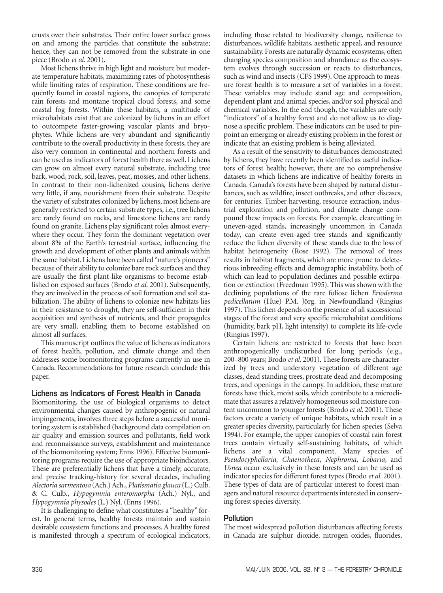crusts over their substrates. Their entire lower surface grows on and among the particles that constitute the substrate; hence, they can not be removed from the substrate in one piece (Brodo *et al.* 2001).

Most lichens thrive in high light and moisture but moderate temperature habitats, maximizing rates of photosynthesis while limiting rates of respiration. These conditions are frequently found in coastal regions, the canopies of temperate rain forests and montane tropical cloud forests, and some coastal fog forests. Within these habitats, a multitude of microhabitats exist that are colonized by lichens in an effort to outcompete faster-growing vascular plants and bryophytes. While lichens are very abundant and significantly contribute to the overall productivity in these forests, they are also very common in continental and northern forests and can be used as indicators of forest health there as well. Lichens can grow on almost every natural substrate, including tree bark, wood, rock, soil, leaves, peat, mosses, and other lichens. In contrast to their non-lichenized cousins, lichens derive very little, if any, nourishment from their substrate. Despite the variety of substrates colonized by lichens, most lichens are generally restricted to certain substrate types, i.e., tree lichens are rarely found on rocks, and limestone lichens are rarely found on granite. Lichens play significant roles almost everywhere they occur. They form the dominant vegetation over about 8% of the Earth's terrestrial surface, influencing the growth and development of other plants and animals within the same habitat. Lichens have been called "nature's pioneers" because of their ability to colonize bare rock surfaces and they are usually the first plant-like organisms to become established on exposed surfaces (Brodo *et al.* 2001). Subsequently, they are involved in the process of soil formation and soil stabilization. The ability of lichens to colonize new habitats lies in their resistance to drought, they are self-sufficient in their acquisition and synthesis of nutrients, and their propagules are very small, enabling them to become established on almost all surfaces.

This manuscript outlines the value of lichens as indicators of forest health, pollution, and climate change and then addresses some biomonitoring programs currently in use in Canada. Recommendations for future research conclude this paper.

# Lichens as Indicators of Forest Health in Canada

Biomonitoring, the use of biological organisms to detect environmental changes caused by anthropogenic or natural impingements, involves three steps before a successful monitoring system is established (background data compilation on air quality and emission sources and pollutants, field work and reconnaissance surveys, establishment and maintenance of the biomonitoring system; Enns 1996). Effective biomonitoring programs require the use of appropriate bioindicators. These are preferentially lichens that have a timely, accurate, and precise tracking-history for several decades, including *Alectoria sarmentosa* (Ach.) Ach., *Platismatia glauca* (L.) Culb. & C. Culb., *Hypogymnia enteromorpha* (Ach.) Nyl., and *Hypogymnia physodes* (L.) Nyl. (Enns 1996).

It is challenging to define what constitutes a "healthy" forest. In general terms, healthy forests maintain and sustain desirable ecosystem functions and processes. A healthy forest is manifested through a spectrum of ecological indicators,

including those related to biodiversity change, resilience to disturbances, wildlife habitats, aesthetic appeal, and resource sustainability. Forests are naturally dynamic ecosystems, often changing species composition and abundance as the ecosystem evolves through succession or reacts to disturbances, such as wind and insects (CFS 1999). One approach to measure forest health is to measure a set of variables in a forest. These variables may include stand age and composition, dependent plant and animal species, and/or soil physical and chemical variables. In the end though, the variables are only "indicators" of a healthy forest and do not allow us to diagnose a specific problem. These indicators can be used to pinpoint an emerging or already existing problem in the forest or indicate that an existing problem is being alleviated.

As a result of the sensitivity to disturbances demonstrated by lichens, they have recently been identified as useful indicators of forest health; however, there are no comprehensive datasets in which lichens are indicative of healthy forests in Canada. Canada's forests have been shaped by natural disturbances, such as wildfire, insect outbreaks, and other diseases, for centuries. Timber harvesting, resource extraction, industrial exploration and pollution, and climate change compound these impacts on forests. For example, clearcutting in uneven-aged stands, increasingly uncommon in Canada today, can create even-aged tree stands and significantly reduce the lichen diversity of these stands due to the loss of habitat heterogeneity (Rose 1992). The removal of trees results in habitat fragments, which are more prone to deleterious inbreeding effects and demographic instability, both of which can lead to population declines and possible extirpation or extinction (Freedman 1995). This was shown with the declining populations of the rare foliose lichen *Erioderma pedicellatum* (Hue) P.M. Jörg. in Newfoundland (Ringius 1997). This lichen depends on the presence of all successional stages of the forest and very specific microhabitat conditions (humidity, bark pH, light intensity) to complete its life-cycle (Ringius 1997).

Certain lichens are restricted to forests that have been anthropogenically undisturbed for long periods (e.g., 200–800 years; Brodo *et al.* 2001). These forests are characterized by trees and understory vegetation of different age classes, dead standing trees, prostrate dead and decomposing trees, and openings in the canopy. In addition, these mature forests have thick, moist soils, which contribute to a microclimate that assures a relatively homogeneous soil moisture content uncommon to younger forests (Brodo *et al.* 2001). These factors create a variety of unique habitats, which result in a greater species diversity, particularly for lichen species (Selva 1994). For example, the upper canopies of coastal rain forest trees contain virtually self-sustaining habitats, of which lichens are a vital component. Many species of *Pseudocyphellaria*, *Chaenotheca*, *Nephroma*, *Lobaria*, and *Usnea* occur exclusively in these forests and can be used as indicator species for different forest types (Brodo *et al.* 2001). These types of data are of particular interest to forest managers and natural resource departments interested in conserving forest species diversity.

# Pollution

The most widespread pollution disturbances affecting forests in Canada are sulphur dioxide, nitrogen oxides, fluorides,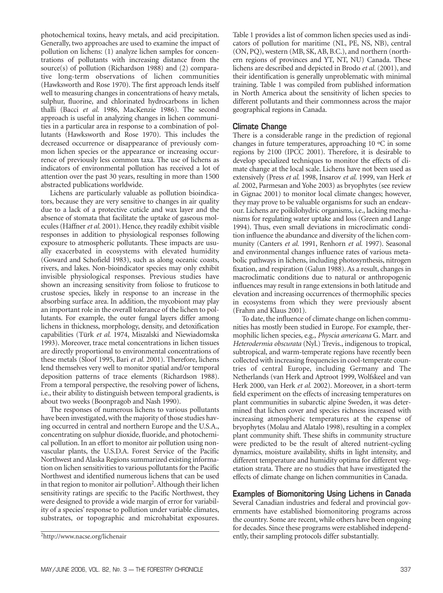photochemical toxins, heavy metals, and acid precipitation. Generally, two approaches are used to examine the impact of pollution on lichens: (1) analyze lichen samples for concentrations of pollutants with increasing distance from the source(s) of pollution (Richardson 1988) and (2) comparative long-term observations of lichen communities (Hawksworth and Rose 1970). The first approach lends itself well to measuring changes in concentrations of heavy metals, sulphur, fluorine, and chlorinated hydrocarbons in lichen thalli (Bacci *et al.* 1986, MacKenzie 1986). The second approach is useful in analyzing changes in lichen communities in a particular area in response to a combination of pollutants (Hawksworth and Rose 1970). This includes the decreased occurrence or disappearance of previously common lichen species or the appearance or increasing occurrence of previously less common taxa. The use of lichens as indicators of environmental pollution has received a lot of attention over the past 30 years, resulting in more than 1500 abstracted publications worldwide.

Lichens are particularly valuable as pollution bioindicators, because they are very sensitive to changes in air quality due to a lack of a protective cuticle and wax layer and the absence of stomata that facilitate the uptake of gaseous molecules (Häffner *et al.* 2001). Hence, they readily exhibit visible responses in addition to physiological responses following exposure to atmospheric pollutants. These impacts are usually exacerbated in ecosystems with elevated humidity (Goward and Schofield 1983), such as along oceanic coasts, rivers, and lakes. Non-bioindicator species may only exhibit invisible physiological responses. Previous studies have shown an increasing sensitivity from foliose to fruticose to crustose species, likely in response to an increase in the absorbing surface area. In addition, the mycobiont may play an important role in the overall tolerance of the lichen to pollutants. For example, the outer fungal layers differ among lichens in thickness, morphology, density, and detoxification capabilities (Türk *et al.* 1974, Miszalski and Niewiadomska 1993). Moreover, trace metal concentrations in lichen tissues are directly proportional to environmental concentrations of these metals (Sloof 1995, Bari *et al.* 2001). Therefore, lichens lend themselves very well to monitor spatial and/or temporal deposition patterns of trace elements (Richardson 1988). From a temporal perspective, the resolving power of lichens, i.e., their ability to distinguish between temporal gradients, is about two weeks (Boonpragob and Nash 1990).

The responses of numerous lichens to various pollutants have been investigated, with the majority of those studies having occurred in central and northern Europe and the U.S.A., concentrating on sulphur dioxide, fluoride, and photochemical pollution. In an effort to monitor air pollution using nonvascular plants, the U.S.D.A. Forest Service of the Pacific Northwest and Alaska Regions summarized existing information on lichen sensitivities to various pollutants for the Pacific Northwest and identified numerous lichens that can be used in that region to monitor air pollution<sup>2</sup>. Although their lichen sensitivity ratings are specific to the Pacific Northwest, they were designed to provide a wide margin of error for variability of a species' response to pollution under variable climates, substrates, or topographic and microhabitat exposures.

Table 1 provides a list of common lichen species used as indicators of pollution for maritime (NL, PE, NS, NB), central (ON, PQ), western (MB, SK, AB, B.C.), and northern (northern regions of provinces and YT, NT, NU) Canada. These lichens are described and depicted in Brodo *et al.* (2001), and their identification is generally unproblematic with minimal training. Table 1 was compiled from published information in North America about the sensitivity of lichen species to different pollutants and their commonness across the major geographical regions in Canada.

## Climate Change

There is a considerable range in the prediction of regional changes in future temperatures, approaching 10 ºC in some regions by 2100 (IPCC 2001). Therefore, it is desirable to develop specialized techniques to monitor the effects of climate change at the local scale. Lichens have not been used as extensively (Press *et al.* 1998, Insarov *et al.* 1999, van Herk *et al.* 2002, Parmesan and Yohe 2003) as bryophytes (see review in Gignac 2001) to monitor local climate changes; however, they may prove to be valuable organisms for such an endeavour. Lichens are poikilohydric organisms, i.e., lacking mechanisms for regulating water uptake and loss (Green and Lange 1994). Thus, even small deviations in microclimatic condition influence the abundance and diversity of the lichen community (Canters *et al.* 1991, Renhorn *et al.* 1997). Seasonal and environmental changes influence rates of various metabolic pathways in lichens, including photosynthesis, nitrogen fixation, and respiration (Galun 1988). As a result, changes in macroclimatic conditions due to natural or anthropogenic influences may result in range extensions in both latitude and elevation and increasing occurrences of thermophilic species in ecosystems from which they were previously absent (Frahm and Klaus 2001).

To date, the influence of climate change on lichen communities has mostly been studied in Europe. For example, thermophilic lichen species, e.g., *Physcia americana* G. Marr. and *Heterodermia obscurata* (Nyl.) Trevis., indigenous to tropical, subtropical, and warm-temperate regions have recently been collected with increasing frequencies in cool-temperate countries of central Europe, including Germany and The Netherlands (van Herk and Aptroot 1999, Wolfskeel and van Herk 2000, van Herk *et al.* 2002). Moreover, in a short-term field experiment on the effects of increasing temperatures on plant communities in subarctic alpine Sweden, it was determined that lichen cover and species richness increased with increasing atmospheric temperatures at the expense of bryophytes (Molau and Alatalo 1998), resulting in a complex plant community shift. These shifts in community structure were predicted to be the result of altered nutrient-cycling dynamics, moisture availability, shifts in light intensity, and different temperature and humidity optima for different vegetation strata. There are no studies that have investigated the effects of climate change on lichen communities in Canada.

Examples of Biomonitoring Using Lichens in Canada Several Canadian industries and federal and provincial governments have established biomonitoring programs across the country. Some are recent, while others have been ongoing for decades. Since these programs were established independently, their sampling protocols differ substantially.

<sup>2</sup>http://www.nacse.org/lichenair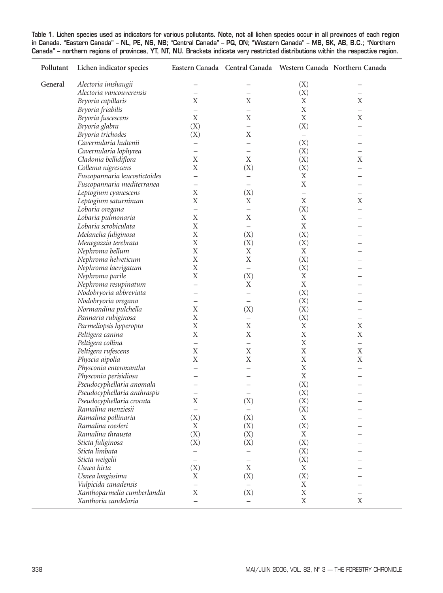Table 1. Lichen species used as indicators for various pollutants. Note, not all lichen species occur in all provinces of each region in Canada. "Eastern Canada" – NL, PE, NS, NB; "Central Canada" – PQ, ON; "Western Canada" – MB, SK, AB, B.C.; "Northern Canada" – northern regions of provinces, YT, NT, NU. Brackets indicate very restricted distributions within the respective region.

| Pollutant | Lichen indicator species                       |                          |                          |                   | Eastern Canada Central Canada Western Canada Northern Canada |
|-----------|------------------------------------------------|--------------------------|--------------------------|-------------------|--------------------------------------------------------------|
| General   | Alectoria imshaugii                            | $\overline{\phantom{0}}$ |                          | (X)               |                                                              |
|           | Alectoria vancouverensis                       |                          |                          | (X)               |                                                              |
|           | Bryoria capillaris                             | X                        | X                        | X                 | X                                                            |
|           | Bryoria friabilis                              | $\qquad \qquad -$        |                          | X                 | $\overline{\phantom{0}}$                                     |
|           | Bryoria fuscescens                             | X                        | X                        | $\mathbf X$       | X                                                            |
|           | Bryoria glabra                                 | (X)                      |                          | (X)               |                                                              |
|           | Bryoria trichodes                              | (X)                      | $\mathbf X$              | $\qquad \qquad -$ |                                                              |
|           | Cavernularia hultenii                          | $\overline{\phantom{0}}$ |                          | (X)               |                                                              |
|           | Cavernularia lophyrea                          | $\overline{\phantom{0}}$ |                          | (X)               |                                                              |
|           | Cladonia bellidiflora                          | $\mathbf X$              | X                        | (X)               | $\mathbf X$                                                  |
|           | Collema nigrescens                             | X                        | (X)                      | (X)               |                                                              |
|           | Fuscopannaria leucostictoides                  | $\qquad \qquad -$        |                          | X                 |                                                              |
|           | Fuscopannaria mediterranea                     | $\qquad \qquad -$        |                          | X                 |                                                              |
|           | Leptogium cyanescens                           | X                        | (X)                      | -                 |                                                              |
|           | Leptogium saturninum                           | X                        | X                        | $\mathbf X$       | Χ                                                            |
|           | Lobaria oregana                                | $\qquad \qquad -$        |                          | (X)               |                                                              |
|           | Lobaria pulmonaria                             | X                        | X                        | X                 |                                                              |
|           | Lobaria scrobiculata                           | X                        |                          | $\mathbf X$       |                                                              |
|           | Melanelia fuliginosa                           | X                        | (X)                      | (X)               |                                                              |
|           | Menegazzia terebrata                           | X                        | (X)                      | (X)               |                                                              |
|           | Nephroma bellum                                | X                        | X                        | X                 |                                                              |
|           | Nephroma helveticum                            | X                        | X                        | (X)               |                                                              |
|           | Nephroma laevigatum                            | X                        | $\overline{\phantom{0}}$ | (X)               |                                                              |
|           |                                                | X                        | (X)                      | X                 |                                                              |
|           | Nephroma parile                                |                          | X                        | X                 |                                                              |
|           | Nephroma resupinatum<br>Nodobryoria abbreviata | $\overline{\phantom{0}}$ |                          | (X)               |                                                              |
|           |                                                |                          |                          |                   |                                                              |
|           | Nodobryoria oregana                            | $\qquad \qquad -$<br>X   | (X)                      | (X)               |                                                              |
|           | Normandina pulchella                           | X                        |                          | (X)<br>(X)        |                                                              |
|           | Pannaria rubiginosa                            |                          | —                        |                   |                                                              |
|           | Parmeliopsis hyperopta                         | X<br>X                   | X<br>$\mathbf X$         | X<br>$\mathbf X$  | X<br>$\mathbf X$                                             |
|           | Peltigera canina                               |                          |                          | $\mathbf X$       |                                                              |
|           | Peltigera collina                              | $\qquad \qquad -$        | $\overline{\phantom{0}}$ |                   | $\overline{\phantom{0}}$                                     |
|           | Peltigera rufescens                            | $\mathbf X$              | $\mathbf X$              | $\mathbf X$<br>X  | $\mathbf X$                                                  |
|           | Physcia aipolia                                | X                        | X                        |                   | $\mathbf X$                                                  |
|           | Physconia enteroxantha                         | —                        |                          | $\mathbf X$       |                                                              |
|           | Physconia perisidiosa                          | $\qquad \qquad -$        |                          | X                 |                                                              |
|           | Pseudocyphellaria anomala                      |                          |                          | (X)               |                                                              |
|           | Pseudocyphellaria anthraspis                   | $\overline{\phantom{0}}$ |                          | (X)               |                                                              |
|           | Pseudocyphellaria crocata                      | X                        | (X)                      | (X)               |                                                              |
|           | Ramalina menziesii                             | $\overline{\phantom{0}}$ |                          | (X)               |                                                              |
|           | Ramalina pollinaria                            | (X)                      | (X)                      | X                 |                                                              |
|           | Ramalina roesleri                              | X                        | (X)                      | (X)               |                                                              |
|           | Ramalina thrausta                              | (X)                      | (X)                      | X                 |                                                              |
|           | Sticta fuliginosa                              | (X)                      | (X)                      | (X)               |                                                              |
|           | Sticta limbata                                 |                          |                          | (X)               |                                                              |
|           | Sticta weigelii                                | $\equiv$                 |                          | (X)               |                                                              |
|           | Usnea hirta                                    | (X)                      | X                        | X                 |                                                              |
|           | Usnea longissima                               | X                        | (X)                      | (X)               |                                                              |
|           | Vulpicida canadensis                           |                          |                          | X                 |                                                              |
|           | Xanthoparmelia cumberlandia                    | X                        | (X)                      | $\mathbf X$       |                                                              |
|           | Xanthoria candelaria                           | $\overline{\phantom{0}}$ |                          | X                 | $\mathbf X$                                                  |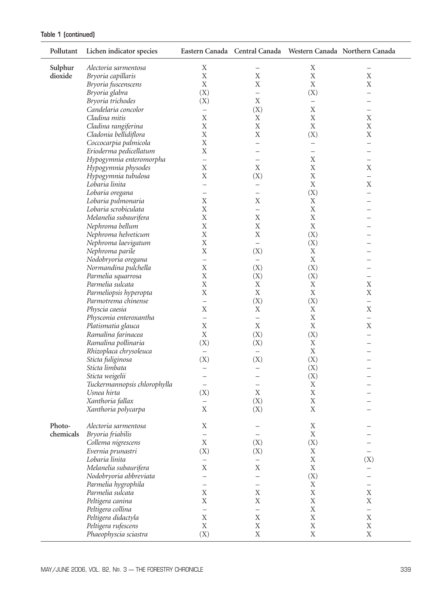| Pollutant | Lichen indicator species                     |                          |                            |                          | Eastern Canada Central Canada Western Canada Northern Canada |
|-----------|----------------------------------------------|--------------------------|----------------------------|--------------------------|--------------------------------------------------------------|
| Sulphur   | Alectoria sarmentosa                         | X                        |                            | $\mathbf X$              |                                                              |
| dioxide   | Bryoria capillaris                           | $\mathbf X$              | $\mathbf X$                | $\mathbf X$              | $\mathbf X$                                                  |
|           | Bryoria fuscenscens                          | $\mathbf X$              | X                          | X                        | X                                                            |
|           | Bryoria glabra                               | (X)                      | $\equiv$                   | (X)                      |                                                              |
|           | Bryoria trichodes                            | (X)                      | X                          | $\overline{\phantom{0}}$ |                                                              |
|           | Candelaria concolor                          | $\overline{\phantom{0}}$ | (X)                        | $\mathbf X$              |                                                              |
|           | Cladina mitis                                | X                        | X                          | X                        | X                                                            |
|           |                                              |                          |                            |                          |                                                              |
|           | Cladina rangiferina                          | $\mathbf X$              | $\mathbf X$                | $\mathbf X$              | $\mathbf X$                                                  |
|           | Cladonia bellidiflora                        | $\mathbf X$              | $\mathbf X$                | (X)                      | $\mathbf X$                                                  |
|           | Coccocarpia palmicola                        | $\mathbf X$              |                            |                          |                                                              |
|           | Erioderma pedicellatum                       | $\mathbf X$              |                            | $\overline{\phantom{0}}$ |                                                              |
|           | Hypogymnia enteromorpha                      | $\qquad \qquad -$        |                            | Χ                        |                                                              |
|           | Hypogymnia physodes                          | $\mathbf X$              | X                          | $\mathbf X$              | $\mathbf X$                                                  |
|           | Hypogymnia tubulosa                          | X                        | (X)                        | $\mathbf X$              | $\overline{\phantom{0}}$                                     |
|           | Lobaria linita                               | $\qquad \qquad -$        |                            | X                        | $\mathbf X$                                                  |
|           | Lobaria oregana                              | $\overline{\phantom{0}}$ |                            | (X)                      |                                                              |
|           | Lobaria pulmonaria                           | Χ                        | X                          | X                        |                                                              |
|           | Lobaria scrobiculata                         | $\mathbf X$              | $\overline{\phantom{0}}$   | $\mathbf X$              |                                                              |
|           |                                              |                          | $\mathbf X$                | X                        |                                                              |
|           | Melanelia subaurifera                        | $\mathbf X$              |                            |                          |                                                              |
|           | Nephroma bellum                              | $\mathbf X$              | $\mathbf X$                | $\mathbf X$              |                                                              |
|           | Nephroma helveticum                          | $\mathbf X$              | $\mathbf X$                | (X)                      |                                                              |
|           | Nephroma laevigatum                          | $\mathbf X$              |                            | (X)                      |                                                              |
|           | Nephroma parile                              | $\mathbf X$              | (X)                        | X                        |                                                              |
|           | Nodobryoria oregana                          | $\qquad \qquad -$        |                            | X                        |                                                              |
|           | Normandina pulchella                         | $\mathbf X$              | (X)                        | (X)                      |                                                              |
|           | Parmelia squarrosa                           | $\mathbf X$              | (X)                        | (X)                      |                                                              |
|           | Parmelia sulcata                             | $\mathbf X$              | $\mathbf X$                | X                        | X                                                            |
|           | Parmeliopsis hyperopta                       | $\mathbf X$              | $\mathbf X$                | X                        | $\mathbf X$                                                  |
|           |                                              |                          |                            |                          |                                                              |
|           | Parmotrema chinense                          | $\overline{\phantom{0}}$ | (X)                        | (X)                      | $\overline{\phantom{0}}$                                     |
|           | Physcia caesia                               | $\mathbf X$              | $\mathbf X$                | X                        | X                                                            |
|           | Physconia enteroxantha                       | $\overline{\phantom{0}}$ | $\overline{\phantom{0}}$   | $\mathbf X$              | $\overline{\phantom{0}}$                                     |
|           | Platismatia glauca                           | $\mathbf X$              | X                          | $\mathbf X$              | $\mathbf X$                                                  |
|           | Ramalina farinacea                           | $\mathbf X$              | (X)                        | (X)                      | $\overline{\phantom{0}}$                                     |
|           | Ramalina pollinaria                          | (X)                      | (X)                        | X                        |                                                              |
|           | Rhizoplaca chrysoleuca                       | $\overline{\phantom{0}}$ | $\overline{\phantom{0}}$   | X                        |                                                              |
|           | Sticta fuliginosa                            | (X)                      | (X)                        | (X)                      |                                                              |
|           | Sticta limbata                               | -                        |                            | (X)                      |                                                              |
|           | Sticta weigelii                              |                          |                            | (X)                      |                                                              |
|           | Tuckermannopsis chlorophylla                 | —                        | -                          | $\mathbf X$              |                                                              |
|           | Usnea hirta                                  | (X)                      | $\mathbf X$                | $\mathbf X$              |                                                              |
|           |                                              |                          |                            |                          |                                                              |
|           | Xanthoria fallax                             | $\overline{\phantom{0}}$ | (X)                        | X                        |                                                              |
|           | Xanthoria polycarpa                          | $\mathbf X$              | (X)                        | X                        |                                                              |
| Photo-    | Alectoria sarmentosa                         | X                        |                            | $\mathbf X$              |                                                              |
| chemicals | Bryoria friabilis                            | $\overline{\phantom{m}}$ |                            | $\mathbf X$              |                                                              |
|           | Collema nigrescens                           | $\mathbf X$              | (X)                        | (X)                      |                                                              |
|           | Evernia prunastri                            | (X)                      | (X)                        | X                        |                                                              |
|           | Lobaria linita                               | $\overline{\phantom{0}}$ | $\overline{\phantom{0}}$   | $\mathbf X$              | (X)                                                          |
|           | Melanelia subaurifera                        | $\mathbf X$              | $\mathbf X$                | $\mathbf X$              |                                                              |
|           | Nodobryoria abbreviata                       |                          |                            | (X)                      |                                                              |
|           | Parmelia hygrophila                          | $\qquad \qquad -$        |                            | X                        | —                                                            |
|           |                                              | $\mathbf X$              | $\mathbf X$                | $\mathbf X$              | $\mathbf X$                                                  |
|           | Parmelia sulcata                             |                          | $\mathbf X$                |                          |                                                              |
|           |                                              |                          |                            | X                        | $\mathbf X$                                                  |
|           | Peltigera canina                             | $\mathbf X$              |                            |                          |                                                              |
|           | Peltigera collina                            | $\overline{\phantom{0}}$ | $\qquad \qquad -$          | $\mathbf X$              | $\qquad \qquad -$                                            |
|           | Peltigera didactyla                          | $\mathbf X$              | $\mathbf X$                | $\mathbf X$              | $\mathbf X$                                                  |
|           | Peltigera rufescens<br>Phaeophyscia sciastra | $\mathbf X$<br>(X)       | $\mathbf X$<br>$\mathbf X$ | $\mathbf X$<br>X         | $\mathbf X$<br>$\mathbf X$                                   |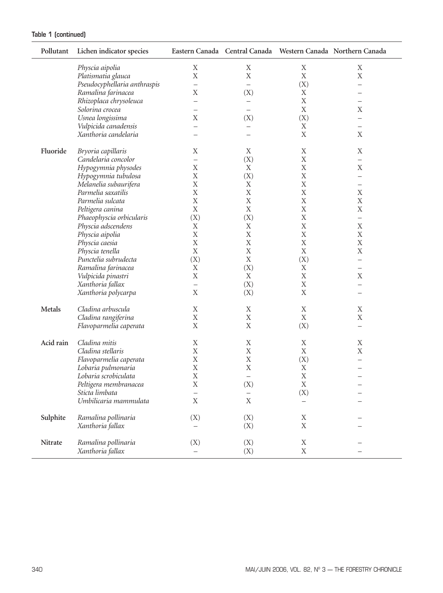| Pollutant | Lichen indicator species     |                          |                          |             | Eastern Canada Central Canada Western Canada Northern Canada |
|-----------|------------------------------|--------------------------|--------------------------|-------------|--------------------------------------------------------------|
|           | Physcia aipolia              | $\mathbf X$              | X                        | X           | X                                                            |
|           | Platismatia glauca           | $\mathbf X$              | $\mathbf X$              | $\mathbf X$ | $\mathbf X$                                                  |
|           | Pseudocyphellaria anthraspis | $\equiv$                 | $\overline{\phantom{0}}$ | (X)         | $\overline{\phantom{0}}$                                     |
|           | Ramalina farinacea           | X                        | (X)                      | X           |                                                              |
|           | Rhizoplaca chrysoleuca       | $\overline{\phantom{0}}$ |                          | $\mathbf X$ |                                                              |
|           | Solorina crocea              | $\overline{\phantom{0}}$ | $\overline{\phantom{0}}$ | $\mathbf X$ | Χ                                                            |
|           | Usnea longissima             | X                        | (X)                      | (X)         | —                                                            |
|           | Vulpicida canadensis         | $\overline{\phantom{0}}$ | $\overline{\phantom{0}}$ | X           | $\overline{\phantom{0}}$                                     |
|           | Xanthoria candelaria         | $\overline{\phantom{0}}$ |                          | $\mathbf X$ | $\mathbf X$                                                  |
| Fluoride  | Bryoria capillaris           | X                        | $\mathbf X$              | X           | $\mathbf X$                                                  |
|           | Candelaria concolor          | $\overline{\phantom{0}}$ | (X)                      | X           | $\overline{\phantom{0}}$                                     |
|           | Hypogymnia physodes          | X                        | X                        | $\mathbf X$ | Χ                                                            |
|           | Hypogymnia tubulosa          | X                        | (X)                      | X           | —                                                            |
|           | Melanelia subaurifera        | $\mathbf X$              | X                        | $\mathbf X$ | $\overline{\phantom{0}}$                                     |
|           | Parmelia saxatilis           | X                        | $\mathbf X$              | $\mathbf X$ | $\mathbf X$                                                  |
|           | Parmelia sulcata             | $\mathbf X$              | $\mathbf X$              | $\mathbf X$ | $\mathbf X$                                                  |
|           | Peltigera canina             | $\mathbf X$              | $\mathbf X$              | $\mathbf X$ | $\mathbf X$                                                  |
|           | Phaeophyscia orbicularis     | (X)                      | (X)                      | $\mathbf X$ | $\overline{\phantom{0}}$                                     |
|           | Physcia adscendens           | X                        | X                        | $\mathbf X$ | $\mathbf X$                                                  |
|           | Physcia aipolia              | $\mathbf X$              | $\mathbf X$              | $\mathbf X$ | $\mathbf X$                                                  |
|           | Physcia caesia               | $\mathbf X$              | $\mathbf X$              | $\mathbf X$ | $\mathbf X$                                                  |
|           | Physcia tenella              | $\mathbf X$              | $\mathbf X$              | $\mathbf X$ | $\mathbf X$                                                  |
|           | Punctelia subrudecta         | (X)                      | $\mathbf X$              | (X)         | $\overline{\phantom{0}}$                                     |
|           | Ramalina farinacea           | X                        | (X)                      | X           | —                                                            |
|           | Vulpicida pinastri           | X                        | X                        | X           | X                                                            |
|           | Xanthoria fallax             | $\overline{\phantom{0}}$ | (X)                      | $\mathbf X$ | $\overline{\phantom{0}}$                                     |
|           | Xanthoria polycarpa          | X                        | (X)                      | X           |                                                              |
| Metals    | Cladina arbuscula            | X                        | X                        | X           | X                                                            |
|           | Cladina rangiferina          | X                        | X                        | $\mathbf X$ | $\mathbf X$                                                  |
|           | Flavoparmelia caperata       | X                        | $\mathbf X$              | (X)         | —                                                            |
| Acid rain | Cladina mitis                | X                        | $\mathbf X$              | X           | $\mathbf X$                                                  |
|           | Cladina stellaris            | $\mathbf X$              | $\mathbf X$              | $\mathbf X$ | $\mathbf X$                                                  |
|           | Flavoparmelia caperata       | X                        | $\mathbf X$              | (X)         |                                                              |
|           | Lobaria pulmonaria           | X                        | $\mathbf X$              | X           |                                                              |
|           | Lobaria scrobiculata         | $\mathbf X$              | $\overline{\phantom{0}}$ | $\mathbf X$ |                                                              |
|           | Peltigera membranacea        | $\mathbf X$              | $(\mathbf{X})$           | $\mathbf X$ |                                                              |
|           | Sticta limbata               | $\overline{\phantom{0}}$ |                          | (X)         |                                                              |
|           | Umbilicaria mammulata        | $\mathbf X$              | $\mathbf X$              |             |                                                              |
| Sulphite  | Ramalina pollinaria          | (X)                      | (X)                      | Χ           |                                                              |
|           | Xanthoria fallax             |                          | (X)                      | $\mathbf X$ |                                                              |
| Nitrate   | Ramalina pollinaria          | (X)                      | (X)                      | $\mathbf X$ |                                                              |
|           | Xanthoria fallax             | -                        | (X)                      | $\mathbf X$ |                                                              |

# Table 1 (continued)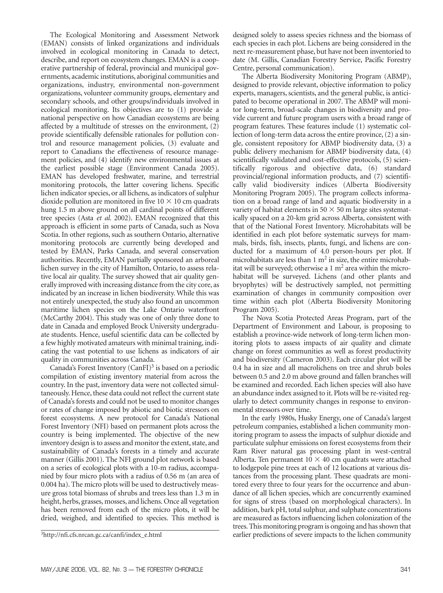The Ecological Monitoring and Assessment Network (EMAN) consists of linked organizations and individuals involved in ecological monitoring in Canada to detect, describe, and report on ecosystem changes. EMAN is a cooperative partnership of federal, provincial and municipal governments, academic institutions, aboriginal communities and organizations, industry, environmental non-government organizations, volunteer community groups, elementary and secondary schools, and other groups/individuals involved in ecological monitoring. Its objectives are to (1) provide a national perspective on how Canadian ecosystems are being affected by a multitude of stresses on the environment, (2) provide scientifically defensible rationales for pollution control and resource management policies, (3) evaluate and report to Canadians the effectiveness of resource management policies, and (4) identify new environmental issues at the earliest possible stage (Environment Canada 2005). EMAN has developed freshwater, marine, and terrestrial monitoring protocols, the latter covering lichens. Specific lichen indicator species, or all lichens, as indicators of sulphur dioxide pollution are monitored in five  $10 \times 10$  cm quadrats hung 1.5 m above ground on all cardinal points of different tree species (Asta *et al*. 2002). EMAN recognized that this approach is efficient in some parts of Canada, such as Nova Scotia. In other regions, such as southern Ontario, alternative monitoring protocols are currently being developed and tested by EMAN, Parks Canada, and several conservation authorities. Recently, EMAN partially sponsored an arboreal lichen survey in the city of Hamilton, Ontario, to assess relative local air quality. The survey showed that air quality generally improved with increasing distance from the city core, as indicated by an increase in lichen biodiversity. While this was not entirely unexpected, the study also found an uncommon maritime lichen species on the Lake Ontario waterfront (McCarthy 2004). This study was one of only three done to date in Canada and employed Brock University undergraduate students. Hence, useful scientific data can be collected by a few highly motivated amateurs with minimal training, indicating the vast potential to use lichens as indicators of air quality in communities across Canada.

Canada's Forest Inventory  $(CanFI)^3$  is based on a periodic compilation of existing inventory material from across the country. In the past, inventory data were not collected simultaneously. Hence, these data could not reflect the current state of Canada's forests and could not be used to monitor changes or rates of change imposed by abiotic and biotic stressors on forest ecosystems. A new protocol for Canada's National Forest Inventory (NFI) based on permanent plots across the country is being implemented. The objective of the new inventory design is to assess and monitor the extent, state, and sustainability of Canada's forests in a timely and accurate manner (Gillis 2001). The NFI ground plot network is based on a series of ecological plots with a 10-m radius, accompanied by four micro plots with a radius of 0.56 m (an area of 0.004 ha). The micro plots will be used to destructively measure gross total biomass of shrubs and trees less than 1.3 m in height, herbs, grasses, mosses, and lichens. Once all vegetation has been removed from each of the micro plots, it will be dried, weighed, and identified to species. This method is

designed solely to assess species richness and the biomass of each species in each plot. Lichens are being considered in the next re-measurement phase, but have not been inventoried to date (M. Gillis, Canadian Forestry Service, Pacific Forestry Centre, personal communication).

The Alberta Biodiversity Monitoring Program (ABMP), designed to provide relevant, objective information to policy experts, managers, scientists, and the general public, is anticipated to become operational in 2007. The ABMP will monitor long-term, broad-scale changes in biodiversity and provide current and future program users with a broad range of program features. These features include (1) systematic collection of long-term data across the entire province, (2) a single, consistent repository for ABMP biodiversity data, (3) a public delivery mechanism for ABMP biodiversity data, (4) scientifically validated and cost-effective protocols, (5) scientifically rigorous and objective data, (6) standard provincial/regional information products, and (7) scientifically valid biodiversity indices (Alberta Biodiversity Monitoring Program 2005). The program collects information on a broad range of land and aquatic biodiversity in a variety of habitat elements in  $50 \times 50$  m large sites systematically spaced on a 20-km grid across Alberta, consistent with that of the National Forest Inventory. Microhabitats will be identified in each plot before systematic surveys for mammals, birds, fish, insects, plants, fungi, and lichens are conducted for a maximum of 4.0 person-hours per plot. If microhabitats are less than  $1 \text{ m}^2$  in size, the entire microhabitat will be surveyed; otherwise a  $1 \text{ m}^2$  area within the microhabitat will be surveyed. Lichens (and other plants and bryophytes) will be destructively sampled, not permitting examination of changes in community composition over time within each plot (Alberta Biodiversity Monitoring Program 2005).

The Nova Scotia Protected Areas Program, part of the Department of Environment and Labour, is proposing to establish a province-wide network of long-term lichen monitoring plots to assess impacts of air quality and climate change on forest communities as well as forest productivity and biodiversity (Cameron 2003). Each circular plot will be 0.4 ha in size and all macrolichens on tree and shrub boles between 0.5 and 2.0 m above ground and fallen branches will be examined and recorded. Each lichen species will also have an abundance index assigned to it. Plots will be re-visited regularly to detect community changes in response to environmental stressors over time.

In the early 1980s, Husky Energy, one of Canada's largest petroleum companies, established a lichen community monitoring program to assess the impacts of sulphur dioxide and particulate sulphur emissions on forest ecosystems from their Ram River natural gas processing plant in west-central Alberta. Ten permanent  $10 \times 40$  cm quadrats were attached to lodgepole pine trees at each of 12 locations at various distances from the processing plant. These quadrats are monitored every three to four years for the occurrence and abundance of all lichen species, which are concurrently examined for signs of stress (based on morphological characters). In addition, bark pH, total sulphur, and sulphate concentrations are measured as factors influencing lichen colonization of the trees. This monitoring program is ongoing and has shown that earlier predictions of severe impacts to the lichen community

<sup>3</sup>http://nfi.cfs.nrcan.gc.ca/canfi/index\_e.html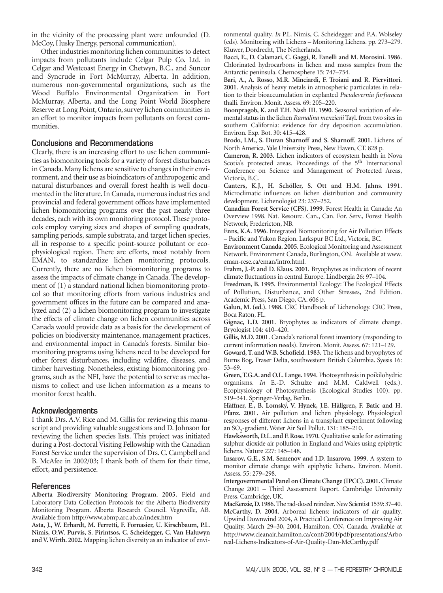in the vicinity of the processing plant were unfounded (D. McCoy, Husky Energy, personal communication).

Other industries monitoring lichen communities to detect impacts from pollutants include Celgar Pulp Co. Ltd. in Celgar and Westcoast Energy in Chetwyn, B.C., and Suncor and Syncrude in Fort McMurray, Alberta. In addition, numerous non-governmental organizations, such as the Wood Buffalo Environmental Organization in Fort McMurray, Alberta, and the Long Point World Biosphere Reserve at Long Point, Ontario, survey lichen communities in an effort to monitor impacts from pollutants on forest communities.

# Conclusions and Recommendations

Clearly, there is an increasing effort to use lichen communities as biomonitoring tools for a variety of forest disturbances in Canada. Many lichens are sensitive to changes in their environment, and their use as bioindicators of anthropogenic and natural disturbances and overall forest health is well documented in the literature. In Canada, numerous industries and provincial and federal government offices have implemented lichen biomonitoring programs over the past nearly three decades, each with its own monitoring protocol. These protocols employ varying sizes and shapes of sampling quadrats, sampling periods, sample substrata, and target lichen species, all in response to a specific point-source pollutant or ecophysiological region. There are efforts, most notably from EMAN, to standardize lichen monitoring protocols. Currently, there are no lichen biomonitoring programs to assess the impacts of climate change in Canada. The development of (1) a standard national lichen biomonitoring protocol so that monitoring efforts from various industries and government offices in the future can be compared and analyzed and (2) a lichen biomonitoring program to investigate the effects of climate change on lichen communities across Canada would provide data as a basis for the development of policies on biodiversity maintenance, management practices, and environmental impact in Canada's forests. Similar biomonitoring programs using lichens need to be developed for other forest disturbances, including wildfire, diseases, and timber harvesting. Nonetheless, existing biomonitoring programs, such as the NFI, have the potential to serve as mechanisms to collect and use lichen information as a means to monitor forest health.

# Acknowledgements

I thank Drs. A.V. Rice and M. Gillis for reviewing this manuscript and providing valuable suggestions and D. Johnson for reviewing the lichen species lists. This project was initiated during a Post-doctoral Visiting Fellowship with the Canadian Forest Service under the supervision of Drs. C. Campbell and B. McAfee in 2002/03; I thank both of them for their time, effort, and persistence.

# References

**Alberta Biodiversity Monitoring Program. 2005.** Field and Laboratory Data Collection Protocols for the Alberta Biodiversity Monitoring Program. Alberta Research Council. Vegreville, AB. Available from http://www.abmp.arc.ab.ca/index.htm

**Asta, J., W. Erhardt, M. Ferretti, F. Fornasier, U. Kirschbaum, P.L. Nimis, O.W. Purvis, S. Pirintsos, C. Scheidegger, C. Van Haluwyn and V. Wirth. 2002.** Mapping lichen diversity as an indicator of environmental quality. *In* P.L. Nimis, C. Scheidegger and P.A. Wolseley (eds). Monitoring with Lichens – Monitoring Lichens. pp. 273–279. Kluwer, Dordrecht, The Netherlands.

**Bacci, E., D. Calamari, C. Gaggi, R. Fanelli and M. Morosini. 1986.** Chlorinated hydrocarbons in lichen and moss samples from the Antarctic peninsula. Chemosphere 15: 747–754.

**Bari, A., A. Rosso, M.R. Minciardi, F. Troiani and R. Piervittori. 2001.** Analysis of heavy metals in atmospheric particulates in relation to their bioaccumulation in explanted *Pseudevernia furfuracea* thalli. Environ. Monit. Assess. 69: 205–220.

**Boonpragob, K. and T.H. Nash III. 1990.** Seasonal variation of elemental status in the lichen *Ramalina menziesii* Tayl. from two sites in southern California: evidence for dry deposition accumulation. Environ. Exp. Bot. 30: 415–428.

**Brodo, I.M., S. Duran Sharnoff and S. Sharnoff. 2001.** Lichens of North America. Yale University Press, New Haven, CT. 828 p.

**Cameron, R. 2003.** Lichen indicators of ecosystem health in Nova Scotia's protected areas. Proceedings of the 5<sup>th</sup> International Conference on Science and Management of Protected Areas, Victoria, B.C.

**Canters, K.J., H. Schöller, S. Ott and H.M. Jahns. 1991.** Microclimatic influences on lichen distribution and community development. Lichenologist 23: 237–252.

**Canadian Forest Service (CFS). 1999.** Forest Health in Canada: An Overview 1998. Nat. Resourc. Can., Can. For. Serv., Forest Health Network, Fredericton, NB.

**Enns, K.A. 1996.** Integrated Biomonitoring for Air Pollution Effects – Pacific and Yukon Region. Larkspur BC Ltd., Victoria, BC.

**Environment Canada. 2005.** Ecological Monitoring and Assessment Network. Environment Canada, Burlington, ON. Available at www. eman-rese.ca/eman/intro.html.

**Frahm, J.-P. and D. Klaus. 2001.** Bryophytes as indicators of recent climate fluctuations in central Europe. Lindbergia 26: 97–104.

**Freedman, B. 1995.** Environmental Ecology: The Ecological Effects of Pollution, Disturbance, and Other Stresses, 2nd Edition. Academic Press, San Diego, CA. 606 p.

**Galun, M. (ed.). 1988.** CRC Handbook of Lichenology. CRC Press, Boca Raton, FL.

**Gignac, L.D. 2001.** Bryophytes as indicators of climate change. Bryologist 104: 410–420.

**Gillis, M.D. 2001.** Canada's national forest inventory (responding to current information needs). Environ. Monit. Assess. 67: 121–129.

**Goward, T. and W.B. Schofield. 1983.** The lichens and bryophytes of Burns Bog, Fraser Delta, southwestern British Columbia. Syesis 16: 53–69.

**Green, T.G.A. and O.L. Lange. 1994.** Photosynthesis in poikilohydric organisms. *In* E.-D. Schulze and M.M. Caldwell (eds.). Ecophysiology of Photosynthesis (Ecological Studies 100). pp. 319–341. Springer-Verlag, Berlin.

Häffner, E., B. Lomský, V. Hynek, J.E. Hällgren, F. Batic and H. **Pfanz. 2001.** Air pollution and lichen physiology. Physiological responses of different lichens in a transplant experiment following an SO<sub>2</sub>-gradient. Water Air Soil Pollut. 131: 185-210.

**Hawksworth, D.L. and F. Rose. 1970.** Qualitative scale for estimating sulphur dioxide air pollution in England and Wales using epiphytic lichens. Nature 227: 145–148.

**Insarov, G.E., S.M. Semenov and I.D. Insarova. 1999.** A system to monitor climate change with epiphytic lichens. Environ. Monit. Assess. 55: 279–298.

**Intergovernmental Panel on Climate Change (IPCC). 2001.**Climate Change 2001 – Third Assessment Report. Cambridge University Press, Cambridge, UK.

**MacKenzie,D. 1986.**The rad-dosed reindeer.New Scientist 1539: 37–40. **McCarthy, D. 2004.** Arboreal lichens: indicators of air quality. Upwind Downwind 2004, A Practical Conference on Improving Air Quality, March 29–30, 2004, Hamilton, ON, Canada. Available at http://www.cleanair.hamilton.ca/conf/2004/pdf/presentations/Arbo real-Lichens-Indicators-of-Air-Quality-Dan-McCarthy.pdf